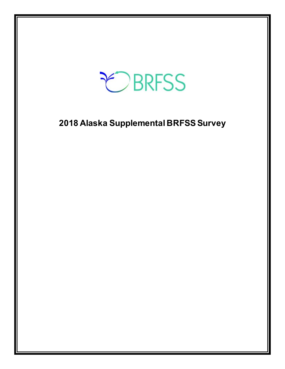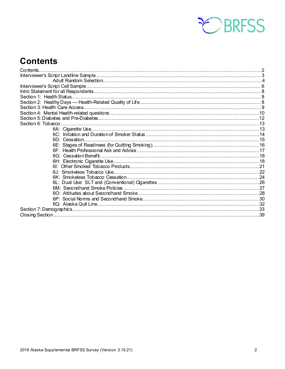

### <span id="page-1-0"></span>**Contents**

| Contents |  |
|----------|--|
|          |  |
|          |  |
|          |  |
|          |  |
|          |  |
|          |  |
|          |  |
|          |  |
|          |  |
|          |  |
|          |  |
|          |  |
|          |  |
|          |  |
|          |  |
|          |  |
|          |  |
|          |  |
|          |  |
|          |  |
|          |  |
|          |  |
|          |  |
|          |  |
|          |  |
|          |  |
|          |  |
|          |  |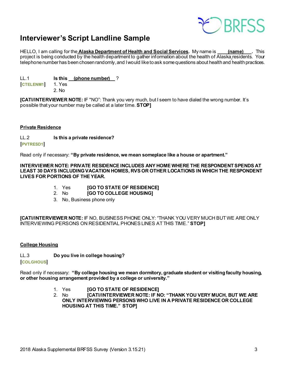

### <span id="page-2-0"></span>**Interviewer's Script Landline Sample**

HELLO, I am calling for the **Alaska Department of Health and Social Services.** My name is **(name) .** This project is being conducted by the health department to gather information about the health of Alaska residents. Your telephone number has been chosen randomly, and I would like to ask some questions about health and health practices.

LL.1 **Is this (phone number)** ? **[CTELENM1]** 1. Yes

2. No

**[CATI/INTERVIEWER NOTE:** IF "NO": Thank you very much, but I seem to have dialed the wrong number. It's possible that your number may be called at a later time. **STOP]**

#### **Private Residence**

LL.2 **Is this a private residence? [PVTRESD1]**

Read only if necessary: **"By private residence, we mean someplace like a house or apartment."**

**INTERVIEWER NOTE: PRIVATE RESIDENCE INCLUDES ANY HOME WHERE THE RESPONDENT SPENDS AT LEAST 30 DAYS INCLUDING VACATION HOMES, RVS OR OTHER LOCATIONS IN WHICH THE RESPONDENT LIVES FOR PORTIONS OF THE YEAR.** 

- 1. Yes **[GO TO STATE OF RESIDENCE]**
- 2. No **[GO TO COLLEGE HOUSING]**
- 3. No, Business phone only

**[CATI/INTERVIEWER NOTE:** IF NO, BUSINESS PHONE ONLY: "THANK YOU VERY MUCH BUT WE ARE ONLY INTERVIEWING PERSONS ON RESIDENTIAL PHONES LINES AT THIS TIME." **STOP]**

#### **College Housing**

LL.3 **Do you live in college housing?** 

**[COLGHOUS]**

Read only if necessary: **"By college housing we mean dormitory, graduate student or visiting faculty housing, or other housing arrangement provided by a college or university."**

- 1. Yes **[GO TO STATE OF RESIDENCE]**
- ICATI/INTERVIEWER NOTE: IF NO: "THANK YOU VERY MUCH, BUT WE ARE **ONLY INTERVIEWING PERSONS WHO LIVE IN A PRIVATE RESIDENCE OR COLLEGE HOUSING AT THIS TIME." STOP]**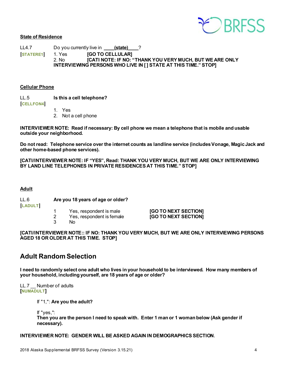

#### **State of Residence**

LL4.7 Do you currently live in \_\_\_\_\_**(state)** 2 **[STATERE1]** 1. Yes **[GO TO CELLULAR]** 2. No **[CATI NOTE: IF NO: "THANK YOU VERY MUCH, BUT WE ARE ONLY INTERVIEWING PERSONS WHO LIVE IN [ ] STATE AT THIS TIME." STOP]**

#### **Cellular Phone**

LL.5 **Is this a cell telephone?**

**[CELLFON4]**

1. Yes

2. Not a cell phone

**INTERVIEWER NOTE: Read if necessary: By cell phone we mean a telephone that is mobile and usable outside your neighborhood.**

**Do not read: Telephone service over the internet counts as landline service (includes Vonage, Magic Jack and other home-based phone services).**

**[CATI/INTERVIEWER NOTE: IF "YES", Read: THANK YOU VERY MUCH, BUT WE ARE ONLY INTERVIEWING BY LAND LINE TELEPHONES IN PRIVATE RESIDENCES AT THIS TIME." STOP]**

#### **Adult**

LL.6 **Are you 18 years of age or older? [LADULT]**

- 1 Yes, respondent is male **[GO TO NEXT SECTION]**
- 2 Yes, respondent is female **[GO TO NEXT SECTION]** No.

**[CATI/INTERVIEWER NOTE:: IF NO: THANK YOU VERY MUCH, BUT WE ARE ONLY INTERVIEWING PERSONS AGED 18 OR OLDER AT THIS TIME. STOP]**

### <span id="page-3-0"></span>**Adult Random Selection**

**I need to randomly select one adult who lives in your household to be interviewed. How many members of your household, including yourself, are 18 years of age or older?**

LL.7 \_\_ Number of adults **[NUMADULT]**

If "1,": **Are you the adult?**

If "yes,":

**Then you are the person I need to speak with. Enter 1 man or 1 woman below (Ask gender if necessary).**

#### **INTERVIEWER NOTE: GENDER WILL BE ASKED AGAIN IN DEMOGRAPHICS SECTION**.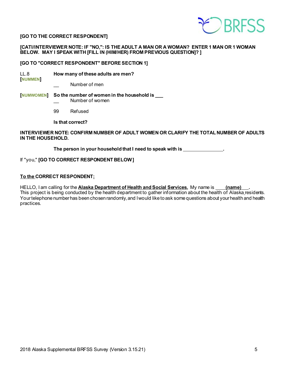

#### **[GO TO THE CORRECT RESPONDENT]**

#### **[CATI/INTERVIEWER NOTE: IF "NO,": IS THE ADULT A MAN OR A WOMAN? ENTER 1 MAN OR 1 WOMAN BELOW. MAY I SPEAK WITH [FILL IN (HIM/HER) FROM PREVIOUS QUESTION]? ]**

#### **[GO TO "CORRECT RESPONDENT" BEFORE SECTION 1]**

- LL.8 **How many of these adults are men? [NUMMEN]**
	- Number of men

#### **[NUMWOMEN] So the number of women in the household is \_\_\_** Number of women

99 Refused

**Is that correct?**

#### **INTERVIEWER NOTE: CONFIRM NUMBER OF ADULT WOMEN OR CLARIFY THE TOTAL NUMBER OF ADULTS IN THE HOUSEHOLD.**

**The person in your household that I need to speak with is .**

#### If "you," **[GO TO CORRECT RESPONDENT BELOW ]**

#### **To the CORRECT RESPONDENT:**

HELLO, I am calling for the **Alaska Department of Health and Social Services.** My name is *(name)* This project is being conducted by the health department to gather information about the health of Alaska residents. Your telephone number has been chosen randomly, and I would like to ask some questions about your health and health practices.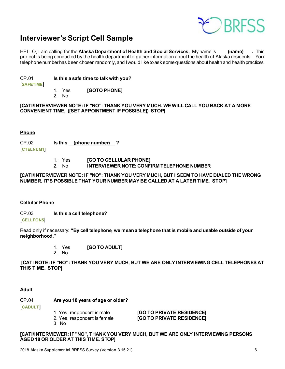

### <span id="page-5-0"></span>**Interviewer's Script Cell Sample**

HELLO, I am calling for the **Alaska Department of Health and Social Services**. My name is **(name)** . This project is being conducted by the health department to gather information about the health of Alaska residents. Your telephone number has been chosen randomly, and I would like to ask some questions about health and health practices.

CP.01 **Is this a safe time to talk with you?** 

**[SAFETIME]**

- 1. Yes **[GOTO PHONE]**
- 2. No

**[CATI/INTERVIEWER NOTE: IF "NO": THANK YOU VERY MUCH. WE WILL CALL YOU BACK AT A MORE CONVENIENT TIME. ([SET APPOINTMENT IF POSSIBLE]) STOP]**

#### **Phone**

CP.02 **Is this (phone number) ?**

**[CTELNUM1]**

- 1. Yes **[GO TO CELLULAR PHONE]**
- 2. No **INTERVIEWER NOTE: CONFIRM TELEPHONE NUMBER**

#### **[CATI/INTERVIEWER NOTE: IF "NO": THANK YOU VERY MUCH, BUT I SEEM TO HAVE DIALED THE WRONG NUMBER. IT'S POSSIBLE THAT YOUR NUMBER MAY BE CALLED AT A LATER TIME. STOP]**

#### **Cellular Phone**

CP.03 **Is this a cell telephone?**

**[CELLFON5]**

Read only if necessary: **"By cell telephone, we mean a telephone that is mobile and usable outside of your neighborhood."**

1. Yes **[GO TO ADULT]**

2. No

**[CATI NOTE: IF "NO": THANK YOU VERY MUCH, BUT WE ARE ONLY INTERVIEWING CELL TELEPHONES AT THIS TIME. STOP]** 

#### **Adult**

CP.04 **Are you 18 years of age or older?** 

3 No

**[CADULT]**

- -

1. Yes, respondent is male **[GO TO PRIVATE RESIDENCE]**<br>2. Yes, respondent is female **[GO TO PRIVATE RESIDENCE] [GO TO PRIVATE RESIDENCE]** 

**[CATI/INTERVIEWER: IF "NO", THANK YOU VERY MUCH, BUT WE ARE ONLY INTERVIEWING PERSONS AGED 18 OR OLDER AT THIS TIME. STOP]**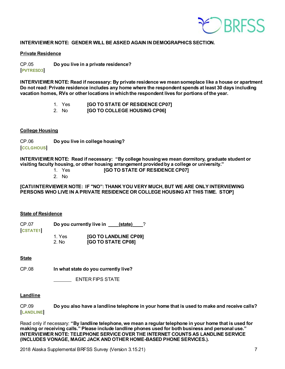

#### **INTERVIEWER NOTE: GENDER WILL BE ASKED AGAIN IN DEMOGRAPHICS SECTION.**

#### **Private Residence**

CP.05 **Do you live in a private residence? [PVTRESD3]**

**INTERVIEWER NOTE: Read if necessary: By private residence we mean someplace like a house or apartment Do not read: Private residence includes any home where the respondent spends at least 30 days including vacation homes, RVs or other locations in which the respondent lives for portions of the year.**

- 1. Yes **[GO TO STATE OF RESIDENCE CP07]**
- 2. No **[GO TO COLLEGE HOUSING CP06]**

#### **College Housing**

CP.06 **Do you live in college housing? [CCLGHOUS]**

**INTERVIEWER NOTE: Read if necessary: "By college housing we mean dormitory, graduate student or visiting faculty housing, or other housing arrangement provided by a college or university."**

- 1. Yes **[GO TO STATE OF RESIDENCE CP07]**
- 2. No

**[CATI/INTERVIEWER NOTE: IF "NO": THANK YOU VERY MUCH, BUT WE ARE ONLY INTERVIEWING PERSONS WHO LIVE IN A PRIVATE RESIDENCE OR COLLEGE HOUSING AT THIS TIME. STOP]** 

#### **State of Residence**

| CP.07<br><b>CSTATE1</b> |                             | Do you currently live in | (state)               |  |
|-------------------------|-----------------------------|--------------------------|-----------------------|--|
|                         | 1. Yes<br>2. N <sub>0</sub> | [GO TO STATE CP08]       | [GO TO LANDLINE CP09] |  |

#### **State**

CP.08 **In what state do you currently live?**

ENTER FIPS STATE

#### **Landline**

CP.09 **Do you also have a landline telephone in your home that is used to make and receive calls? [LANDLINE]**

Read only if necessary: **"By landline telephone, we mean a regular telephone in your home that is used for making or receiving calls." Please include landline phones used for both business and personal use." INTERVIEWER NOTE: TELEPHONE SERVICE OVER THE INTERNET COUNTS AS LANDLINE SERVICE (INCLUDES VONAGE, MAGIC JACK AND OTHER HOME-BASED PHONE SERVICES.).**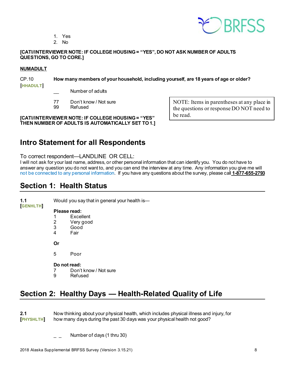EDRRESS

- 1. Yes
- 2. No

#### **[CATI/INTERVIEWER NOTE: IF COLLEGE HOUSING = "YES", DO NOT ASK NUMBER OF ADULTS QUESTIONS, GO TO CORE.]**

#### **NUMADULT**

### CP.10 **How many members of your household, including yourself, are 18 years of age or older?**

**[HHADULT]**

Number of adults

- 77 Don't know / Not sure<br>99 Refused
- Refused

#### **[CATI/INTERVIEWER NOTE: IF COLLEGE HOUSING = "YES" THEN NUMBER OF ADULTS IS AUTOMATICALLY SET TO 1.]**

NOTE: Items in parentheses at any place in the questions or response DO NOT need to be read.

### <span id="page-7-0"></span>**Intro Statement for all Respondents**

To correct respondent—LANDLINE OR CELL:

I will not ask for your last name, address, or other personal information that can identify you. You do not have to answer any question you do not want to, and you can end the interview at any time. Any information you give me will not be connected to any personal information. If you have any questions about the survey, please call **1-877-655-2793**

### <span id="page-7-1"></span>**Section 1: Health Status**

**[GENHLTH]**

**1.1** Would you say that in general your health is—

#### **Please read:**

- 1 Excellent<br>2 Verv good
- Very good
- 3 Good<br>4 Fair
- **Fair**

**Or**

5 Poor

#### **Do not read:**

- 7 Don't know / Not sure
- 9 Refused

### <span id="page-7-2"></span>**Section 2: Healthy Days — Health-Related Quality of Life**

**2.1** Now thinking about your physical health, which includes physical illness and injury, for<br> **[PHYSHLTH]** how many days during the past 30 days was your physical health not good? how many days during the past 30 days was your physical health not good?

Number of days (1 thru 30)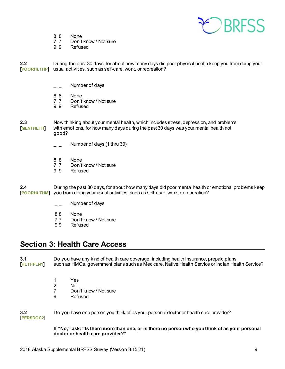

- 
- 8 8 None<br>7 7 Don't 7 7 Don't know / Not sure<br>9 9 Refused
- **Refused**

**2.2** During the past 30 days, for about how many days did poor physical health keep you from doing your **[POORHLTHP]** usual activities, such as self-care, work, or recreation?

- $\overline{\phantom{a}}$  Mumber of days
- 8 8 None<br>7 7 Don't
- 7 7 Don't know / Not sure<br>9 9 Refused
- **Refused**

**2.3** Now thinking about your mental health, which includes stress, depression, and problems **[MENTHLTH]** with emotions, for how many days during the past 30 days was your mental health not good?

- \_ \_ Number of days (1 thru 30)
- 
- 8 8 None<br>7 7 Don't 7 7 Don't know / Not sure<br>9 9 Refused
- **Refused**

**2.4** During the past 30 days, for about how many days did poor mental health or emotional problems keep **[POORHLTHM]** you from doing your usual activities, such as self-care, work, or recreation?

- \_\_ Number of days
- 88 None
- 7 7 Don't know / Not sure
- 9 9 Refused

### <span id="page-8-0"></span>**Section 3: Health Care Access**

**3.1** Do you have any kind of health care coverage, including health insurance, prepaid plans<br>[HLTHPLN1] such as HMOs, government plans such as Medicare, Native Health Service or Indian Hea **[HLTHPLN1]** such as HMOs, government plans such as Medicare, Native Health Service or Indian Health Service?

- 1 Yes
- 2 No<br>7 Do
- 7 Don't know / Not sure<br>9 Refused
- **Refused**

**3.2** Do you have one person you think of as your personal doctor or health care provider?

**[PERSDOC2]**

**If "No," ask: "Is there more than one, or is there no person who you think of as your personal doctor or health care provider?"**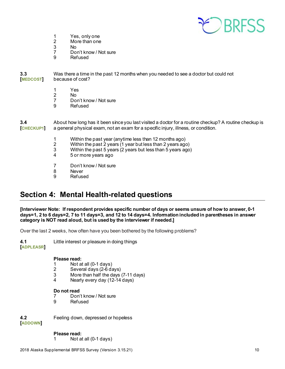

- 1 Yes, only one<br>2 More than one
- 2 More than one<br>3 No
- 3 No
- Don't know / Not sure
- 9 Refused

**3.3** Was there a time in the past 12 months when you needed to see a doctor but could not because of cost?

- 1 Yes<br>2 No
- 2 No<br>7 Do
- Don't know / Not sure
- 9 Refused

**3.4** About how long has it been since you last visited a doctor for a routine checkup? A routine checkup is **[CHECKUP1]** a general physical exam, not an exam for a specific injury, illness, or condition. **[CHECKUP1]** a general physical exam, not an exam for a specific injury, illness, or condition.

- 1 Within the past year (anytime less than 12 months ago)
- 2 Within the past 2 years (1 year but less than 2 years ago)<br>3 Within the past 5 years (2 years but less than 5 years ago)
- Within the past 5 years  $(2 \text{ years})$  but less than 5 years ago)
- 4 5 or more years ago
- 7 Don't know / Not sure
- 8 Never<br>9 Refuse
- **Refused**

### <span id="page-9-0"></span>**Section 4: Mental Health-related questions**

**[Interviewer Note: If respondent provides specific number of days or seems unsure of how to answer, 0-1 days=1, 2 to 6 days=2, 7 to 11 days=3, and 12 to 14 days=4. Information included in parentheses in answer category is NOT read aloud, but is used by the interviewer if needed.]**

Over the last 2 weeks, how often have you been bothered by the following problems?

**4.1** Little interest or pleasure in doing things **[ADPLEASR]**

#### **Please read:**

- 1 Not at all (0-1 days)<br>2 Several days (2-6 days)
- 2 Several days (2-6 days)<br>3 More than half the days
- 3 More than half the days (7-11 days)<br>4 Nearly every day (12-14 days)
- Nearly every day (12-14 days)

#### **Do not read**

- 7 Don't know / Not sure
- 9 Refused

**[ADDOWN]**

**4.2** Feeling down, depressed or hopeless

**Please read:**<br>1 Not a

Not at all  $(0-1$  days)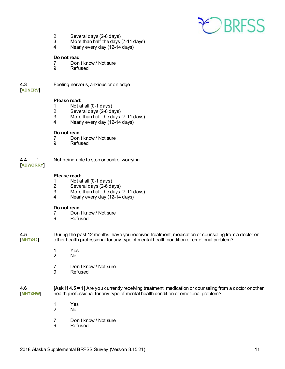

- 2 Several days (2-6 days)
- 3 More than half the days (7-11 days)<br>4 Nearly every day (12-14 days)
- Nearly every day (12-14 days)

#### **Do not read**

- 7 Don't know / Not sure
- 9 Refused

#### **4.3** Feeling nervous, anxious or on edge

**[ADNERV]**

#### **Please read:**

- 
- 1 Not at all (0-1 days)<br>2 Several days (2-6 days) 2 Several days (2-6 days)<br>3 More than half the days
- 3 More than half the days (7-11 days)<br>4 Nearly every day (12-14 days)
- Nearly every day (12-14 days)

### **Do not read**<br>7 Don

- 7 Don't know / Not sure<br>9 Refused
- **Refused**

### **4.4 `** Not being able to stop or control worrying

#### **[ADWORRY]**

#### **Please read:**

- 1 Not at all (0-1 days)
- 2 Several days (2-6 days)
- 3 More than half the days (7-11 days)<br>4 Nearly every day (12-14 days)
- Nearly every day (12-14 days)

### **Do not read**<br>7 Don'

- 7 Don't know / Not sure<br>9 Refused
- **Refused**
- **4.5** During the past 12 months, have you received treatment, medication or counseling from a doctor or <br> **[MHTX12]** other health professional for any type of mental health condition or emotional problem? **[MHTX12]** other health professional for any type of mental health condition or emotional problem?
	- 1 Yes<br>2 No No.
	- 7 Don't know / Not sure<br>9 Refused
	- **Refused**

#### **4.6 [Ask if 4.5 = 1]** Are you currently receiving treatment, medication or counseling from a doctor or other<br> **[MHTXNW]** health professional for any type of mental health condition or emotional problem? health professional for any type of mental health condition or emotional problem?

- 1 Yes
- No.
- 7 Don't know / Not sure<br>9 Refused
- **Refused**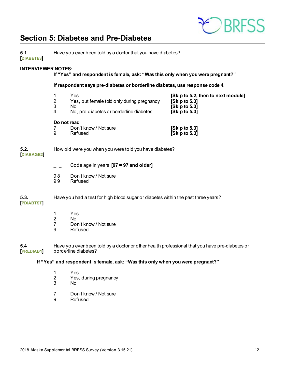

### <span id="page-11-0"></span>**Section 5: Diabetes and Pre-Diabetes**

| 5.1<br><b>DIABETE3</b>    | Have you ever been told by a doctor that you have diabetes? |                                                                                                                        |                                                                                       |  |
|---------------------------|-------------------------------------------------------------|------------------------------------------------------------------------------------------------------------------------|---------------------------------------------------------------------------------------|--|
| <b>INTERVIEWER NOTES:</b> |                                                             | If "Yes" and respondent is female, ask: "Was this only when you were pregnant?"                                        |                                                                                       |  |
|                           |                                                             | If respondent says pre-diabetes or borderline diabetes, use response code 4.                                           |                                                                                       |  |
|                           | $\mathbf{1}$<br>$\overline{2}$<br>3<br>4                    | Yes<br>Yes, but female told only during pregnancy<br>No<br>No, pre-diabetes or borderline diabetes                     | [Skip to 5.2, then to next module]<br>[Skip to 5.3]<br>[Skip to 5.3]<br>[Skip to 5.3] |  |
|                           | Do not read<br>7<br>9                                       | Don't know / Not sure<br>Refused                                                                                       | [Skip to 5.3]<br>[Skip to 5.3]                                                        |  |
| 5.2.<br><b>DIABAGE2</b>   |                                                             | How old were you when you were told you have diabetes?                                                                 |                                                                                       |  |
|                           |                                                             | Code age in years [97 = 97 and older]                                                                                  |                                                                                       |  |
|                           | 98<br>99                                                    | Don't know / Not sure<br>Refused                                                                                       |                                                                                       |  |
| 5.3.<br><b>PDIABTST</b>   |                                                             | Have you had a test for high blood sugar or diabetes within the past three years?                                      |                                                                                       |  |
|                           | 1<br>$\overline{2}$<br>$\overline{7}$<br>9                  | Yes<br>No.<br>Don't know / Not sure<br>Refused                                                                         |                                                                                       |  |
| 5.4<br><b>PREDIAB1</b>    |                                                             | Have you ever been told by a doctor or other health professional that you have pre-diabetes or<br>borderline diabetes? |                                                                                       |  |
|                           |                                                             | If "Yes" and respondent is female, ask: "Was this only when you were pregnant?"                                        |                                                                                       |  |
|                           | 1<br>$\overline{2}$<br>3                                    | Yes<br>Yes, during pregnancy<br>No                                                                                     |                                                                                       |  |
|                           |                                                             | $P_1 = 11111111$                                                                                                       |                                                                                       |  |

7 Don't know / Not sure<br>9 Refused **Refused**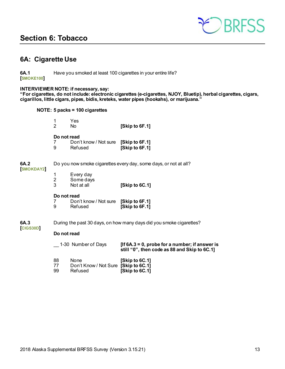### <span id="page-12-0"></span>**Section 6: Tobacco**



### <span id="page-12-1"></span>**6A: Cigarette Use**

**6A.1** Have you smoked at least 100 cigarettes in your entire life? **[SMOKE100]**

#### **INTERVIEWER NOTE: if necessary, say:**

**"For cigarettes, do not include: electronic cigarettes (e-cigarettes, NJOY, Bluetip), herbal cigarettes, cigars, cigarillos, little cigars, pipes, bidis, kreteks, water pipes (hookahs), or marijuana."**

**NOTE: 5 packs = 100 cigarettes**

|                 | 1<br>$\overline{2}$      | Yes<br>No                                    | [Skip to 6F.1]                                                                                    |
|-----------------|--------------------------|----------------------------------------------|---------------------------------------------------------------------------------------------------|
|                 | Do not read<br>7<br>9    | Don't know / Not sure<br>Refused             | [Skip to 6F.1]<br>[Skip to 6F.1]                                                                  |
| 6A.2            |                          |                                              | Do you now smoke cigarettes every day, some days, or not at all?                                  |
| <b>SMOKDAY2</b> | 1<br>$\overline{2}$<br>3 | Every day<br>Some days<br>Not at all         | [Skip to $6C.1$ ]                                                                                 |
|                 | Do not read<br>7<br>9    | Don't know / Not sure<br>Refused             | [Skip to 6F.1]<br>[Skip to 6F.1]                                                                  |
| 6A.3            |                          |                                              | During the past 30 days, on how many days did you smoke cigarettes?                               |
| <b>CIGS30D</b>  | Do not read              |                                              |                                                                                                   |
|                 |                          | 1-30 Number of Days                          | [If $6A.3 = 0$ , probe for a number; if answer is<br>still "0", then code as 88 and Skip to 6C.1] |
|                 | 88<br>77                 | None<br>Don't Know / Not Sure [Skip to 6C.1] | [Skip to 6C.1]                                                                                    |

99 Refused **[Skip to 6C.1]**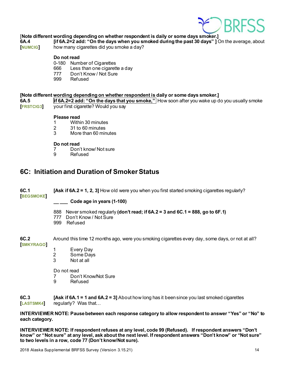

### [**Note different wording depending on whether respondent is daily or some days smoker.]**

**6A.4 if 6A.2=2** add: "On the days when you smoked during the past 30 days" ] On the average, about **[NUMCIG]** how many cigarettes did you smoke a day? how many cigarettes did you smoke a day?

#### **Do not read**

- 0-180 Number of Cigarettes
- 666 Less than one cigarette a day
- 777 Don't Know / Not Sure<br>999 Refused
- Refused

#### **[Note different wording depending on whether respondent is daily or some days smoker.]**

**6A.5 if 6A.2=2 add: "On the days that you smoke,"** How soon after you wake up do you usually smoke **[FRSTCIG3]** your first cigarette? Would you say

### **Please read**<br>1 *Withi*

- 1 Within 30 minutes<br>2 31 to 60 minutes
- 2 31 to 60 minutes<br>3 More than 60 min
- More than 60 minutes

#### **Do not read**

- 7 Don't know/ Not sure<br>9 Refused
- **Refused**

### <span id="page-13-0"></span>**6C: Initiation and Duration of Smoker Status**

**6C.1 [Ask if 6A.2 = 1, 2, 3]** How old were you when you first started smoking cigarettes regularly? **[BEGSMOKE]**

#### **\_\_ \_\_\_ Code age in years (1-100)**

888 Never smoked regularly **(don't read; if 6A.2 = 3 and 6C.1 = 888, go to 6F.1)**

- 777 Don't Know / Not Sure
- 999 Refused

**6C.2** Around this time 12 months ago, were you smoking cigarettes every day, some days, or not at all? **[SMKYRAGO]**

- 1 Every Day<br>2 Some Days
- Some Days
- 3 Not at all

Do not read

- 7 Don't Know/Not Sure<br>9 Refused
- **Refused**

**6C.3 [Ask if 6A.1 = 1 and 6A.2 = 3]** About how long has it been since you last smoked cigarettes **[LASTSMK4]** regularly? Was that…

**INTERVIEWER NOTE: Pause between each response category to allow respondent to answer "Yes" or "No" to each category.**

**INTERVIEWER NOTE: If respondent refuses at any level, code 99 (Refused). If respondent answers "Don't know" or "Not sure" at any level, ask about the next level. If respondent answers "Don't know" or "Not sure" to two levels in a row, code 77 (Don't know/Not sure).**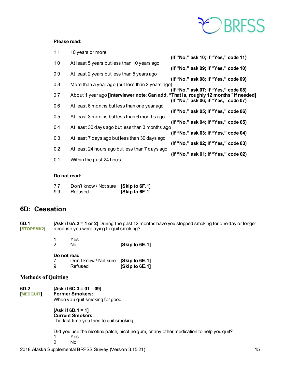# CBRFSS

#### **Please read:**

| 10<br>At least 5 years but less than 10 years ago<br>(If "No," ask 09; if "Yes," code 10)<br>09<br>At least 2 years but less than 5 years ago<br>(If "No," ask 08; if "Yes," code 09)<br>08<br>More than a year ago (but less than 2 years ago)<br>(If "No," ask 07; if "Yes," code 08)<br>07<br>About 1 year ago [Interviewer note: Can add, "That is, roughly 12 months" if needed]<br>(If "No," ask 06; if "Yes," code 07)<br>06<br>At least 6 months but less than one year ago<br>(If "No," ask 05; if "Yes," code 06)<br>0 <sub>5</sub><br>At least 3 months but less than 6 months ago<br>(If "No," ask 04; if "Yes," code 05)<br>04<br>At least 30 days ago but less than 3 months ago<br>(If "No," ask 03; if "Yes," code 04)<br>03<br>At least 7 days ago but less than 30 days ago<br>(If "No," ask 02; if "Yes," code 03)<br>0 <sub>2</sub><br>At least 24 hours ago but less than 7 days ago<br>(If "No," ask 01; if "Yes," code 02)<br>0 <sub>1</sub><br>Within the past 24 hours | $11$ | 10 years or more |                                      |
|-------------------------------------------------------------------------------------------------------------------------------------------------------------------------------------------------------------------------------------------------------------------------------------------------------------------------------------------------------------------------------------------------------------------------------------------------------------------------------------------------------------------------------------------------------------------------------------------------------------------------------------------------------------------------------------------------------------------------------------------------------------------------------------------------------------------------------------------------------------------------------------------------------------------------------------------------------------------------------------------------|------|------------------|--------------------------------------|
|                                                                                                                                                                                                                                                                                                                                                                                                                                                                                                                                                                                                                                                                                                                                                                                                                                                                                                                                                                                                 |      |                  | (If "No," ask 10; if "Yes," code 11) |
|                                                                                                                                                                                                                                                                                                                                                                                                                                                                                                                                                                                                                                                                                                                                                                                                                                                                                                                                                                                                 |      |                  |                                      |
|                                                                                                                                                                                                                                                                                                                                                                                                                                                                                                                                                                                                                                                                                                                                                                                                                                                                                                                                                                                                 |      |                  |                                      |
|                                                                                                                                                                                                                                                                                                                                                                                                                                                                                                                                                                                                                                                                                                                                                                                                                                                                                                                                                                                                 |      |                  |                                      |
|                                                                                                                                                                                                                                                                                                                                                                                                                                                                                                                                                                                                                                                                                                                                                                                                                                                                                                                                                                                                 |      |                  |                                      |
|                                                                                                                                                                                                                                                                                                                                                                                                                                                                                                                                                                                                                                                                                                                                                                                                                                                                                                                                                                                                 |      |                  |                                      |
|                                                                                                                                                                                                                                                                                                                                                                                                                                                                                                                                                                                                                                                                                                                                                                                                                                                                                                                                                                                                 |      |                  |                                      |
|                                                                                                                                                                                                                                                                                                                                                                                                                                                                                                                                                                                                                                                                                                                                                                                                                                                                                                                                                                                                 |      |                  |                                      |
|                                                                                                                                                                                                                                                                                                                                                                                                                                                                                                                                                                                                                                                                                                                                                                                                                                                                                                                                                                                                 |      |                  |                                      |
|                                                                                                                                                                                                                                                                                                                                                                                                                                                                                                                                                                                                                                                                                                                                                                                                                                                                                                                                                                                                 |      |                  |                                      |
|                                                                                                                                                                                                                                                                                                                                                                                                                                                                                                                                                                                                                                                                                                                                                                                                                                                                                                                                                                                                 |      |                  |                                      |
|                                                                                                                                                                                                                                                                                                                                                                                                                                                                                                                                                                                                                                                                                                                                                                                                                                                                                                                                                                                                 |      |                  |                                      |
|                                                                                                                                                                                                                                                                                                                                                                                                                                                                                                                                                                                                                                                                                                                                                                                                                                                                                                                                                                                                 |      |                  |                                      |
|                                                                                                                                                                                                                                                                                                                                                                                                                                                                                                                                                                                                                                                                                                                                                                                                                                                                                                                                                                                                 |      |                  |                                      |
|                                                                                                                                                                                                                                                                                                                                                                                                                                                                                                                                                                                                                                                                                                                                                                                                                                                                                                                                                                                                 |      |                  |                                      |
|                                                                                                                                                                                                                                                                                                                                                                                                                                                                                                                                                                                                                                                                                                                                                                                                                                                                                                                                                                                                 |      |                  |                                      |

#### **Do not read:**

| 77 | Don't know / Not sure [Skip to 6F.1] |                |
|----|--------------------------------------|----------------|
| 99 | Refused                              | [Skip to 6F.1] |

### <span id="page-14-0"></span>**6D: Cessation**

**6D.1 [Ask if 6A.2 = 1 or 2]** During the past 12 months have you stopped smoking for one day or longer **[STOPSMK2]** because you were trying to quit smoking? **because you were trying to quit smoking?** 

| -2 | Yes<br>No   | [Skip to 6E.1] |
|----|-------------|----------------|
|    | Do not read |                |

7 Don't know / Not sure **[Skip to 6E.1]**

### 9 Refused **[Skip to 6E.1]**

#### **Methods of Quitting**

**6D.2 [Ask if 6C.3 = 01 – 09]**  $Former$  Smokers:

When you quit smoking for good…

**[Ask if 6D.1 = 1] Current Smokers:** The last time you tried to quit smoking…

Did you use the nicotine patch, nicotine gum, or any other medication to help you quit? 1 Yes

2 No

2018 Alaska Supplemental BRFSS Survey (Version 3.15.21) 15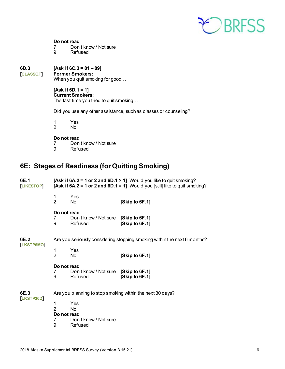

#### **Do not read**

- 7 Don't know / Not sure<br>9 Refused
- **Refused**

# **6D.3 [Ask if 6C.3 = 01 – 09]**

 $Former Smokes:$ 

When you quit smoking for good…

#### **[Ask if 6D.1 = 1] Current Smokers:**

The last time you tried to quit smoking…

Did you use any other assistance, such as classes or counseling?

1 Yes<br>2 No

No.

### **Do not read**<br>7 Don'

- 7 Don't know / Not sure<br>9 Refused
	- **Refused**

### <span id="page-15-0"></span>**6E: Stages of Readiness (for Quitting Smoking)**

| 6E.1<br><b>LIKESTOP</b> |                                              |                                                      | [Ask if $6A.2 = 1$ or 2 and $6D.1 > 1$ ] Would you like to quit smoking?<br>[Ask if $6A.2 = 1$ or 2 and $6D.1 = 1$ ] Would you [still] like to quit smoking? |
|-------------------------|----------------------------------------------|------------------------------------------------------|--------------------------------------------------------------------------------------------------------------------------------------------------------------|
|                         | 1<br>$\overline{2}$                          | Yes<br>No.                                           | [Skip to 6F.1]                                                                                                                                               |
|                         | Do not read<br>7<br>9                        | Don't know / Not sure [Skip to 6F.1]<br>Refused      | [Skip to 6F.1]                                                                                                                                               |
| 6E.2<br>LKSTP6MO        |                                              |                                                      | Are you seriously considering stopping smoking within the next 6 months?                                                                                     |
|                         | 1<br>$\overline{2}$                          | Yes<br>N <sub>o</sub>                                | [Skip to 6F.1]                                                                                                                                               |
|                         | Do not read<br>7<br>9                        | Don't know / Not sure [Skip to 6F.1]<br>Refused      | [Skip to 6F.1]                                                                                                                                               |
| 6E.3                    |                                              |                                                      | Are you planning to stop smoking within the next 30 days?                                                                                                    |
| LKSTP30D                | 1<br>$\overline{2}$<br>Do not read<br>7<br>9 | Yes<br><b>No</b><br>Don't know / Not sure<br>Refused |                                                                                                                                                              |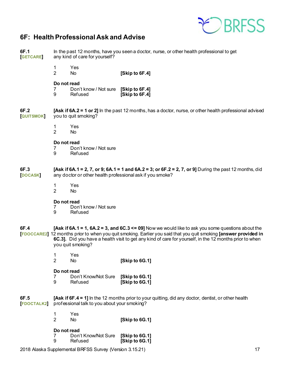

### <span id="page-16-0"></span>**6F: Health Professional Ask and Advise**

| 6F.1<br><b>GETCARE</b>   | In the past 12 months, have you seen a doctor, nurse, or other health professional to get<br>any kind of care for yourself? |                                                         |                                                                                                                                                                                                                                                                                                                                      |  |
|--------------------------|-----------------------------------------------------------------------------------------------------------------------------|---------------------------------------------------------|--------------------------------------------------------------------------------------------------------------------------------------------------------------------------------------------------------------------------------------------------------------------------------------------------------------------------------------|--|
|                          | 1<br>$\overline{2}$                                                                                                         | Yes<br>No.                                              | [Skip to 6F.4]                                                                                                                                                                                                                                                                                                                       |  |
|                          | Do not read<br>$\prime$<br>9                                                                                                | Don't know / Not sure<br>Refused                        | [Skip to 6F.4]<br>[Skip to 6F.4]                                                                                                                                                                                                                                                                                                     |  |
| 6F.2<br><b>QUITSMOK</b>  |                                                                                                                             | you to quit smoking?                                    | [Ask if $6A.2 = 1$ or 2] In the past 12 months, has a doctor, nurse, or other health professional advised                                                                                                                                                                                                                            |  |
|                          | 1<br>$\overline{2}$                                                                                                         | Yes<br>No                                               |                                                                                                                                                                                                                                                                                                                                      |  |
|                          | Do not read<br>7<br>9                                                                                                       | Don't know / Not sure<br>Refused                        |                                                                                                                                                                                                                                                                                                                                      |  |
| 6F.3<br><b>DOCASK</b>    |                                                                                                                             |                                                         | [Ask if 6A.1 = 2, 7, or 9; 6A.1 = 1 and 6A.2 = 3; or 6F.2 = 2, 7, or 9] During the past 12 months, did<br>any doctor or other health professional ask if you smoke?                                                                                                                                                                  |  |
|                          | 1<br>$\overline{2}$                                                                                                         | Yes<br>No                                               |                                                                                                                                                                                                                                                                                                                                      |  |
|                          | Do not read<br>7<br>9                                                                                                       | Don't know / Not sure<br><b>Refused</b>                 |                                                                                                                                                                                                                                                                                                                                      |  |
| 6F.4                     |                                                                                                                             | you quit smoking?                                       | [Ask if 6A.1 = 1, 6A.2 = 3, and 6C.3 $\leq$ 09] Now we would like to ask you some questions about the<br>[FDOCCARE2] 12 months prior to when you quit smoking. Earlier you said that you quit smoking [answer provided in<br>6C.3]. Did you have a health visit to get any kind of care for yourself, in the 12 months prior to when |  |
|                          | 1<br>$\overline{2}$                                                                                                         | Yes<br>No                                               | [Skip to 6G.1]                                                                                                                                                                                                                                                                                                                       |  |
|                          | Do not read<br>$\prime$<br>9                                                                                                | Don't Know/Not Sure<br>Refused                          | [Skip to 6G.1]<br>[Skip to 6G.1]                                                                                                                                                                                                                                                                                                     |  |
| 6F.5<br><b>FDOCTALK2</b> |                                                                                                                             | professional talk to you about your smoking?            | [Ask if 6F.4 = 1] In the 12 months prior to your quitting, did any doctor, dentist, or other health                                                                                                                                                                                                                                  |  |
|                          | 1<br>$\overline{2}$                                                                                                         | Yes<br>No                                               | [Skip to 6G.1]                                                                                                                                                                                                                                                                                                                       |  |
|                          | Do not read<br>7<br>9                                                                                                       | Don't Know/Not Sure<br>Refused                          | [Skip to 6G.1]<br>[Skip to $6G.1$ ]                                                                                                                                                                                                                                                                                                  |  |
|                          |                                                                                                                             | 2018 Alaska Supplemental BRFSS Survey (Version 3.15.21) | 17                                                                                                                                                                                                                                                                                                                                   |  |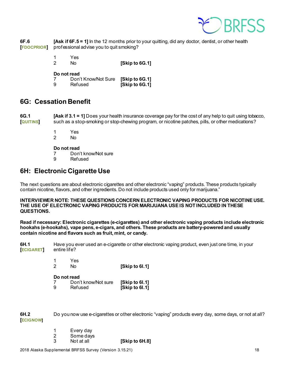

**6F.6 [Ask if 6F.5 = 1]** In the 12 months prior to your quitting, did any doctor, dentist, or other health **[FDOCPRIOR]** professional advise you to quit smoking?

> 1 Yes 2 No **[Skip to 6G.1]**

#### **Do not read**

|   | Don't Know/Not Sure [Skip to 6G.1] |                |
|---|------------------------------------|----------------|
| 9 | Refused                            | [Skip to 6G.1] |

### <span id="page-17-0"></span>**6G: Cessation Benefit**

**6G.1 [Ask if 3.1 = 1]** Does your health insurance coverage pay for the cost of any help to quit using tobacco, **[QUITINS]** such as a stop-smoking or stop-chewing program, or nicotine patches, pills, or other medications?

- 1 Yes
- 2 No

#### **Do not read**

- 7 Don't know/Not sure<br>9 Refused
- **Refused**

### <span id="page-17-1"></span>**6H: Electronic Cigarette Use**

The next questions are about electronic cigarettes and other electronic "vaping" products. These products typically contain nicotine, flavors, and other ingredients. Do not include products used only for marijuana."

**INTERVIEWER NOTE: THESE QUESTIONS CONCERN ELECTRONIC VAPING PRODUCTS FOR NICOTINE USE. THE USE OF ELECTRONIC VAPING PRODUCTS FOR MARIJUANA USE IS NOT INCLUDED IN THESE QUESTIONS.** 

**Read if necessary: Electronic cigarettes (e-cigarettes) and other electronic vaping products include electronic hookahs (e-hookahs), vape pens, e-cigars, and others. These products are battery-powered and usually contain nicotine and flavors such as fruit, mint, or candy.** 

**6H.1** Have you ever used an e-cigarette or other electronic vaping product, even just one time, in your<br>[ECIGARET] entire life? **[ECIGARET]** 

> 1 Yes<br>2 No 2 No **[Skip to 6I.1]**

#### **Do not read**

|   | ---------           |                |
|---|---------------------|----------------|
|   | Don't know/Not sure | [Skip to 61.1] |
| 9 | Refused             | [Skip to 61.1] |

**6H.2** Do you now use e-cigarettes or other electronic "vaping" products every day, some days, or not at all? **[ECIGNOW]**

|   | Every day  |                |
|---|------------|----------------|
| 2 | Some days  |                |
| 3 | Not at all | [Skip to 6H.8] |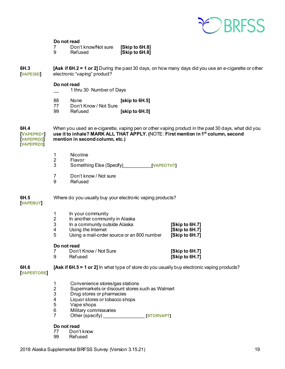

#### **Do not read**

|   | Don't know/Not sure | [Skip to 6H.8] |
|---|---------------------|----------------|
| 9 | Refused             | [Skip to 6H.8] |

**6H.3 [Ask if 6H.2 = 1 or 2]** During the past 30 days, on how many days did you use an e-cigarette or other **[VAPE30D]** electronic "vaping" product?

#### **Do not read**

- \_\_ 1 thru 30 Number of Days
- 88 None **[skip to 6H.5]**<br>77 Don't Know / Not Sure
- 77 Don't Know / Not Sure<br>99 Refused
- **[skip to 6H.5]**

**6H.4** When you used an e-cigarette, vaping pen or other vaping product in the past 30 days, what did you **[VAPEPRD1] use it to inhale? MARK ALL THAT APPLY. (**NOTE: **First mention in 1st column, second**   $[We then find the equation in second column, etc.]$ **[VAPEPRD3]**

- 1 Nicotine<br>2 Flavor
- 2 Flavor<br>3 Somet
- 3 Something Else (Specify)\_\_\_\_\_\_\_\_\_\_\_**[VAPEOTHT]**
- 7 Don't know / Not sure<br>9 Refused
- **Refused**

#### **6H.5** Where do you usually buy your electronic vaping products?

#### **[VAPEBUY]**

- 1 In your community<br>2 In another commun
- 2 In another community in Alaska<br>3 In a community outside Alaska
- 3 In a community outside Alaska **[Skip to 6H.7]**
- 
- 4 Using the Internet **[Skip to 6H.7]**  Using a mail-order source or an 800 number

#### **Do not read**

| Don't Know / Not Sure | [Skip to 6H.7] |
|-----------------------|----------------|
| Refused               | [Skip to 6H.7] |

#### **6H.6 [Ask if 6H.5 = 1 or 2]** In what type of store do you usually buy electronic vaping products?

#### **[VAPESTORE]**

- 1 Convenience stores/gas stations<br>2 Supermarkets or discount stores
- 2 Supermarkets or discount stores such as Walmart
- 3 Drug stores or pharmacies<br>4 Liquor stores or tobacco sh
- 4 Liquor stores or tobacco shops
- Vape shops
- 6 Military commissaries<br>7 Other (specify)
- The contract of the contract of the contract of the contract of the contract of the contract of the contract of the contract of the contract of the contract of the contract of the contract of the contract of the contract o

### **Do not read**<br>77 Don't

- 77 Don't know
- **Refused**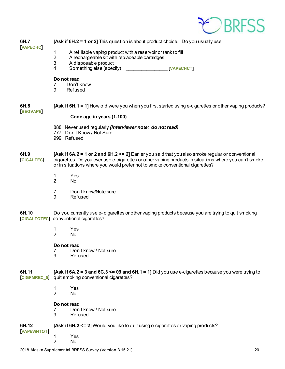

| 6H.7<br><b>VAPECHC</b>    | <b>[Ask if 6H.2 = 1 or 2]</b> This question is about product choice. Do you usually use:                                                                                                                                                                                                        |                                                                                                        |  |  |  |
|---------------------------|-------------------------------------------------------------------------------------------------------------------------------------------------------------------------------------------------------------------------------------------------------------------------------------------------|--------------------------------------------------------------------------------------------------------|--|--|--|
|                           | 1                                                                                                                                                                                                                                                                                               | A refillable vaping product with a reservoir or tank to fill                                           |  |  |  |
|                           | $\mathbf{2}$<br>3                                                                                                                                                                                                                                                                               | A rechargeable kit with replaceable cartridges<br>A disposable product                                 |  |  |  |
|                           | 4                                                                                                                                                                                                                                                                                               | Something else (specify)<br><b>Example 2018 TO VAPECHCT</b>                                            |  |  |  |
|                           | Do not read                                                                                                                                                                                                                                                                                     |                                                                                                        |  |  |  |
|                           | 7<br>9                                                                                                                                                                                                                                                                                          | Don't know<br>Refused                                                                                  |  |  |  |
|                           |                                                                                                                                                                                                                                                                                                 |                                                                                                        |  |  |  |
| 6H.8<br><b>BEGVAPE</b>    |                                                                                                                                                                                                                                                                                                 | [Ask if 6H.1 = 1] How old were you when you first started using e-cigarettes or other vaping products? |  |  |  |
|                           |                                                                                                                                                                                                                                                                                                 | Code age in years (1-100)                                                                              |  |  |  |
|                           |                                                                                                                                                                                                                                                                                                 | 888 Never used regularly (Interviewer note: do not read)                                               |  |  |  |
|                           |                                                                                                                                                                                                                                                                                                 | 777 Don't Know / Not Sure<br>999 Refused                                                               |  |  |  |
|                           |                                                                                                                                                                                                                                                                                                 |                                                                                                        |  |  |  |
| 6H.9<br><b>CIGALTEC</b>   | [Ask if 6A.2 = 1 or 2 and 6H.2 $\leq$ 2] Earlier you said that you also smoke regular or conventional<br>cigarettes. Do you ever use e-cigarettes or other vaping products in situations where you can't smoke<br>or in situations where you would prefer not to smoke conventional cigarettes? |                                                                                                        |  |  |  |
|                           | 1<br>$\overline{2}$                                                                                                                                                                                                                                                                             | Yes<br>No.                                                                                             |  |  |  |
|                           |                                                                                                                                                                                                                                                                                                 |                                                                                                        |  |  |  |
|                           | 7<br>9                                                                                                                                                                                                                                                                                          | Don't know/Note sure<br>Refused                                                                        |  |  |  |
|                           |                                                                                                                                                                                                                                                                                                 |                                                                                                        |  |  |  |
| 6H.10                     | Do you currently use e- cigarettes or other vaping products because you are trying to quit smoking<br>[CIGALTQTEC] conventional cigarettes?                                                                                                                                                     |                                                                                                        |  |  |  |
|                           | 1                                                                                                                                                                                                                                                                                               | Yes                                                                                                    |  |  |  |
|                           | 2                                                                                                                                                                                                                                                                                               | No                                                                                                     |  |  |  |
|                           | Do not read                                                                                                                                                                                                                                                                                     |                                                                                                        |  |  |  |
|                           | 7<br>9                                                                                                                                                                                                                                                                                          | Don't know / Not sure<br>Refused                                                                       |  |  |  |
|                           |                                                                                                                                                                                                                                                                                                 |                                                                                                        |  |  |  |
| 6H.11                     | [Ask if $6A.2 = 3$ and $6C.3 \le 09$ and $6H.1 = 1$ ] Did you use e-cigarettes because you were trying to<br>[CIGFMREC_5] quit smoking conventional cigarettes?                                                                                                                                 |                                                                                                        |  |  |  |
|                           | 1<br>$\overline{2}$                                                                                                                                                                                                                                                                             | Yes<br>No                                                                                              |  |  |  |
|                           | Do not read                                                                                                                                                                                                                                                                                     |                                                                                                        |  |  |  |
|                           | 7<br>9                                                                                                                                                                                                                                                                                          | Don't know / Not sure<br>Refused                                                                       |  |  |  |
|                           |                                                                                                                                                                                                                                                                                                 |                                                                                                        |  |  |  |
| 6H.12<br><b>VAPEWNTQT</b> |                                                                                                                                                                                                                                                                                                 | [Ask if 6H.2 <= 2] Would you like to quit using e-cigarettes or vaping products?                       |  |  |  |
|                           | 1                                                                                                                                                                                                                                                                                               | Yes                                                                                                    |  |  |  |

2 No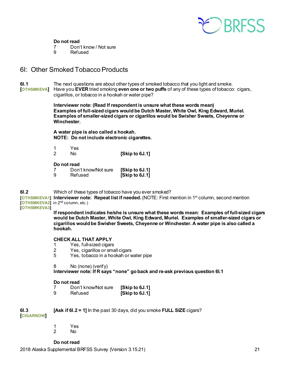

#### **Do not read**

- 7 Don't know / Not sure<br>9 Refused
- **Refused**

### <span id="page-20-0"></span>6I: Other Smoked Tobacco Products

**6I.1** The next questions are about other types of smoked tobacco that you light and smoke. **[OTHSMKEVA]** Have you **EVER** tried smoking **even one or two puffs** of any of these types of tobacco: cigars, cigarillos, or tobacco in a hookah or water pipe?

> **Interviewer note: (Read If respondent is unsure what these words mean) Examples of full-sized cigars would be Dutch Master, White Owl, King Edward, Muriel. Examples of smaller-sized cigars or cigarillos would be Swisher Sweets, Cheyenne or Winchester.**

**A water pipe is also called a hookah. NOTE: Do not include electronic cigarettes.**

|   | Yes. |                |
|---|------|----------------|
| 2 | Nο   | [Skip to 6J.1] |

#### **Do not read**

|   | Don't know/Not sure | [Skip to 6J.1] |
|---|---------------------|----------------|
| 9 | Refused             | [Skip to 6J.1] |

**6I.2** Which of these types of tobacco have you ever smoked?

**[OTHSMKEVA1] Interviewer note: Repeat list if needed. (NOTE: First mention in 1<sup>st</sup> column, second mention [OTHSMKEVA2]** in 2<sup>nd</sup> column, etc.)

**[OTHSMKEVA3]**

**If respondent indicates he/she is unsure what these words mean: Examples of full-sized cigars would be Dutch Master, White Owl, King Edward, Muriel. Examples of smaller-sized cigars or cigarillos would be Swisher Sweets, Cheyenne or Winchester. A water pipe is also called a hookah.**

#### **CHECK ALL THAT APPLY**

- 1 Yes, full-sized cigars<br>2 Yes, cigarillos or sma
- 2 Yes, cigarillos or small cigars<br>5 Yes, tobacco in a hookah or v
- Yes, tobacco in a hookah or water pipe
- 8 No (none) (verify)

**Interviewer note: If R says "none" go back and re-ask previous question 6I.1**

#### **Do not read**

|   | Don't know/Not sure | [Skip to 6J.1] |
|---|---------------------|----------------|
| 9 | Refused             | [Skip to 6J.1] |

**6I.3 [Ask if 6I.2 = 1]** In the past 30 days, did you smoke **FULL SIZE** cigars? **[CIGARNOW]**

- 1 Yes
	- No.

#### **Do not read**

2018 Alaska Supplemental BRFSS Survey (Version 3.15.21) 21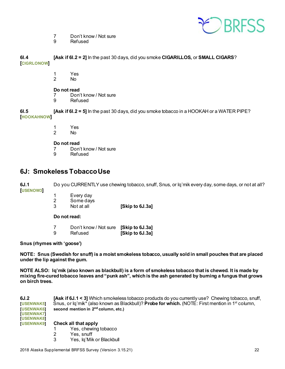

- 7 Don't know / Not sure<br>9 Refused
- **Refused**

**6I.4 [Ask if 6I.2 = 2]** In the past 30 days, did you smoke **CIGARILLOS,** or **SMALL CIGARS**? **[CIGRLONOW]**

- 1 Yes<br>2 No
- $No$

### **Do not read**<br>7 Don'

- 7 Don't know / Not sure<br>9 Refused
	- **Refused**

 **[Ask if 6I.2 = 5]** In the past 30 days, did you smoke tobacco in a HOOKAH or a WATER PIPE? **[HOOKAHNOW]**

- 1 Yes
- 2 No

#### **Do not read**

- 7 Don't know / Not sure<br>9 Refused
- **Refused**

### <span id="page-21-0"></span>**6J: Smokeless Tobacco Use**

**6J.1** Do you CURRENTLY use chewing tobacco, snuff, Snus, or Iq'mik every day, some days, or not at all? **[USENOW3]**

1 Every day<br>2 Some days 2 Some days<br>3 Not at all **[Skip to 6J.3a]** 

**Do not read:**

7 Don't know / Not sure **[Skip to 6J.3a]** 9 Refused **[Skip to 6J.3a]**

#### **Snus (rhymes with 'goose')**

**NOTE: Snus (Swedish for snuff) is a moist smokeless tobacco, usually sold in small pouches that are placed under the lip against the gum.** 

**NOTE ALSO: Iq'mik (also known as blackbull) is a form of smokeless tobacco that is chewed. It is made by mixing fire-cured tobacco leaves and "punk ash", which is the ash generated by burning a fungus that grows on birch trees.**

| 6J.2              | <b>[Ask if 6J.1 &lt; 3]</b> Which smokeless tobacco products do you currently use? Chewing tobacco, snuff,            |  |  |  |  |
|-------------------|-----------------------------------------------------------------------------------------------------------------------|--|--|--|--|
| <b>IUSENWAK5</b>  | Snus, or $q'mik^*$ (also known as Blackbull)? <b>Probe for which.</b> (NOTE: First mention in 1 <sup>st</sup> column, |  |  |  |  |
| <b>IUSENWAK61</b> | second mention in 2 <sup>nd</sup> column, etc.)                                                                       |  |  |  |  |
| <b>TUSENWAK71</b> |                                                                                                                       |  |  |  |  |
| <b>TUSENWAK8</b>  |                                                                                                                       |  |  |  |  |
| <b>IUSENWAK9</b>  | Check all that apply                                                                                                  |  |  |  |  |
|                   | Yes, chewing tobacco                                                                                                  |  |  |  |  |
|                   | Yes, snuff                                                                                                            |  |  |  |  |
|                   |                                                                                                                       |  |  |  |  |

3 Yes, Iq'Mik or Blackbull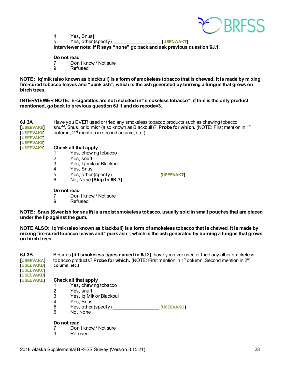

4 Yes, Snus]<br>5 Yes, other ( 5 Yes, other (specify) \_\_\_\_\_\_\_\_\_\_\_\_\_\_\_\_\_\_ **[USENWAKT] Interviewer note: If R says "none" go back and ask previous question 6J.1.**

#### **Do not read**

- 7 Don't know / Not sure
- 9 Refused

**NOTE: Iq'mik (also known as blackbull) is a form of smokeless tobacco that is chewed. It is made by mixing fire-cured tobacco leaves and "punk ash", which is the ash generated by burning a fungus that grows on birch trees.**

**INTERVIEWER NOTE: E-cigarettes are not included in "smokeless tobacco"; if this is the only product mentioned, go back to previous question 6J.1 and do recode=3.**

| 6J.3A<br><b>USEEVAK5</b>        | Have you EVER used or tried any smokeless tobacco products such as chewing tobacco,<br>snuff, Snus, or $q'$ mik* (also known as Blackbull)? <b>Probe for which.</b> (NOTE: First mention in 1 <sup>st</sup> |                          |                   |  |  |
|---------------------------------|-------------------------------------------------------------------------------------------------------------------------------------------------------------------------------------------------------------|--------------------------|-------------------|--|--|
| [USEEVAK6]<br><b>IUSEEVAK71</b> | column, $2nd$ mention in second column, etc.)                                                                                                                                                               |                          |                   |  |  |
| [USEEVAK8]<br><b>IUSEEVAK91</b> |                                                                                                                                                                                                             |                          |                   |  |  |
|                                 | Check all that apply                                                                                                                                                                                        |                          |                   |  |  |
|                                 |                                                                                                                                                                                                             | Yes, chewing tobacco     |                   |  |  |
|                                 |                                                                                                                                                                                                             | Yes, snuff               |                   |  |  |
|                                 | 3                                                                                                                                                                                                           | Yes, Iq'mik or Blackbull |                   |  |  |
|                                 | 4                                                                                                                                                                                                           | Yes. Snus                |                   |  |  |
|                                 | 5                                                                                                                                                                                                           | Yes, other (specify)     | <b>IUSEEVAKTI</b> |  |  |
|                                 | 6                                                                                                                                                                                                           | No, None [Skip to 6K.7]  |                   |  |  |

### **Do not read**<br>7 Don'

- 7 Don't know / Not sure<br>9 Refused
- **Refused**

**NOTE: Snus (Swedish for snuff) is a moist smokeless tobacco, usually sold in small pouches that are placed under the lip against the gum.** 

**NOTE ALSO: Iq'mik (also known as blackbull) is a form of smokeless tobacco that is chewed. It is made by mixing fire-cured tobacco leaves and "punk ash", which is the ash generated by burning a fungus that grows on birch trees.**

| 6J.3B             | Besides [fill smokeless types named in 6J.2], have you ever used or tried any other smokeless                               |  |  |  |
|-------------------|-----------------------------------------------------------------------------------------------------------------------------|--|--|--|
| <b>USEEVAKA</b>   | tobacco products? <b>Probe for which.</b> (NOTE: First mention in 1 <sup>st</sup> column, Second mention in 2 <sup>nd</sup> |  |  |  |
| <b>IUSEEVAKBI</b> | column, etc.)                                                                                                               |  |  |  |
| <b>IUSEEVAKCI</b> |                                                                                                                             |  |  |  |
| <b>TUSEEVAKDT</b> |                                                                                                                             |  |  |  |
| <b>IUSEEVAKEI</b> | Check all that apply                                                                                                        |  |  |  |
|                   | Yes, chewing tobacco                                                                                                        |  |  |  |
|                   | Yes, snuff                                                                                                                  |  |  |  |
|                   | Yes, Iq'Mik or Blackbull                                                                                                    |  |  |  |
|                   | Vae Snue                                                                                                                    |  |  |  |

- 4 Yes, Snus
- 5 Yes, other (specify) \_\_\_\_\_\_\_\_\_\_\_\_\_\_\_\_\_\_ **[USEEVAKO]**
- No, None

#### **Do not read**

- 7 Don't know / Not sure<br>9 Refused
- **Refused**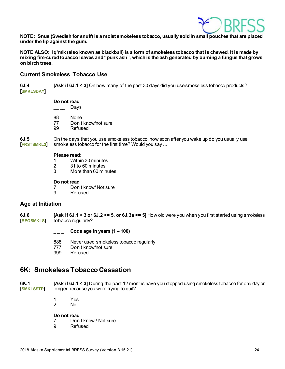

**NOTE: Snus (Swedish for snuff) is a moist smokeless tobacco, usually sold in small pouches that are placed under the lip against the gum.** 

**NOTE ALSO: Iq'mik (also known as blackbull) is a form of smokeless tobacco that is chewed. It is made by mixing fire-cured tobacco leaves and "punk ash", which is the ash generated by burning a fungus that grows on birch trees.**

#### **Current Smokeless Tobacco Use**

**6J.4 [Ask if 6J.1 < 3]** On how many of the past 30 days did you use smokeless tobacco products? **[SMKLSDAY]**

### **Do not read**<br>Davs

- $\overline{\phantom{a}}$
- 
- 88 None<br>77 Don't 77 Don't know/not sure<br>99 Refused
- Refused

**6J.5** On the days that you use smokeless tobacco, how soon after you wake up do you usually use (FRSTSMKL3) smokeless tobacco for the first time? Would you say ... smokeless tobacco for the first time? Would you say ...

### **Please read:**<br>1 Within

- Within 30 minutes
- 2 31 to 60 minutes<br>3 More than 60 min
- More than 60 minutes

#### **Do not read**

- 7 Don't know/ Not sure<br>9 Refused
- **Refused**

#### **Age at Initiation**

**6J.6 [Ask if 6J.1 < 3 or 6J.2 <= 5, or 6J.3a <= 5]** How old were you when you first started using smokeless **[BEGSMKLS]** tobacco regularly?

\_ \_ \_ **Code age in years (1 – 100)**

- 888 Never used smokeless tobacco regularly
- 777 Don't know/not sure
- 999 Refused

### <span id="page-23-0"></span>**6K: Smokeless Tobacco Cessation**

**6K.1 [Ask if 6J.1 < 3]** During the past 12 months have you stopped using smokeless tobacco for one day or **[SMKLSSTP]** longer because you were trying to quit?

- 1 Yes<br>2 No
- N<sub>o</sub>

**Do not read**

7 Don't know / Not sure

9 Refused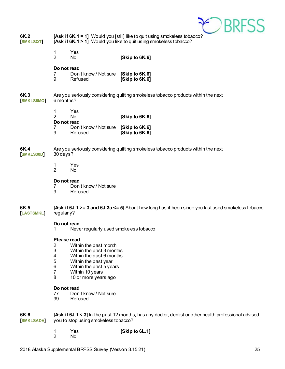

| 6K.2<br><b>SMKLSQT</b>  | [Ask if 6K.1 = 1] Would you [still] like to quit using smokeless tobacco?<br>[Ask if 6K.1 > 1] Would you like to quit using smokeless tobacco? |                                                                                                                                                                             |                                                                                                       |  |  |
|-------------------------|------------------------------------------------------------------------------------------------------------------------------------------------|-----------------------------------------------------------------------------------------------------------------------------------------------------------------------------|-------------------------------------------------------------------------------------------------------|--|--|
|                         | Yes<br>1<br>$\overline{2}$<br>No                                                                                                               |                                                                                                                                                                             | [Skip to 6K.6]                                                                                        |  |  |
|                         | Do not read<br>7<br>9<br>Refused                                                                                                               | Don't know / Not sure [Skip to 6K.6]                                                                                                                                        | [Skip to 6K.6]                                                                                        |  |  |
| 6K.3<br><b>SMKLS6MO</b> | 6 months?                                                                                                                                      |                                                                                                                                                                             | Are you seriously considering quitting smokeless tobacco products within the next                     |  |  |
|                         | 1<br>Yes<br>$\overline{2}$<br><b>No</b><br>Do not read                                                                                         |                                                                                                                                                                             | [Skip to 6K.6]                                                                                        |  |  |
|                         | 7<br>9<br>Refused                                                                                                                              | Don't know / Not sure                                                                                                                                                       | [Skip to 6K.6]<br>[Skip to 6K.6]                                                                      |  |  |
| 6K.4<br>SMKLS30D        | Are you seriously considering quitting smokeless tobacco products within the next<br>30 days?                                                  |                                                                                                                                                                             |                                                                                                       |  |  |
|                         | Yes<br>1<br>$\overline{2}$<br>No                                                                                                               |                                                                                                                                                                             |                                                                                                       |  |  |
|                         | Do not read<br>7<br>9<br>Refused                                                                                                               | Don't know / Not sure                                                                                                                                                       |                                                                                                       |  |  |
| 6K.5<br><b>LASTSMKL</b> | [Ask if 6J.1 >= 3 and 6J.3a <= 5] About how long has it been since you last used smokeless tobacco<br>regularly?                               |                                                                                                                                                                             |                                                                                                       |  |  |
|                         | Do not read<br>Never regularly used smokeless tobacco                                                                                          |                                                                                                                                                                             |                                                                                                       |  |  |
|                         | Please read<br>2<br>3<br>4<br>5<br>6<br>$\overline{7}$<br>8                                                                                    | Within the past month<br>Within the past 3 months<br>Within the past 6 months<br>Within the past year<br>Within the past 5 years<br>Within 10 years<br>10 or more years ago |                                                                                                       |  |  |
|                         | Do not read<br>77<br>99<br>Refused                                                                                                             | Don't know / Not sure                                                                                                                                                       |                                                                                                       |  |  |
| 6K.6<br><b>SMKLSADV</b> |                                                                                                                                                | you to stop using smokeless tobacco?                                                                                                                                        | [Ask if 6J.1 < 3] In the past 12 months, has any doctor, dentist or other health professional advised |  |  |

1 Yes **[Skip to 6L.1]** 2 No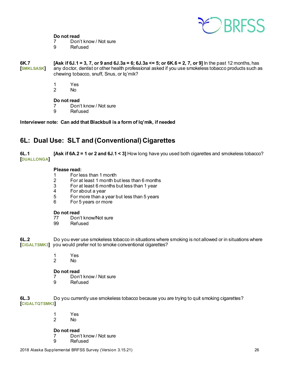

### **Do not read**<br>7 Don'

- 7 Don't know / Not sure<br>9 Refused
- **Refused**

**6K.7 [Ask if 6J.1 = 3, 7, or 9 and 6J.3a = 6; 6J.3a <= 5; or 6K.6 = 2, 7, or 9]** In the past 12 months, has **[SMKLSASK]** any doctor, dentist or other health professional asked if you use smokeless tobacco products such as chewing tobacco, snuff, Snus, or Iq'mik?

- 1 Yes<br>2 No
- No.

#### **Do not read**

- 7 Don't know / Not sure<br>9 Refused
- **Refused**

**Interviewer note: Can add that Blackbull is a form of Iq'mik, if needed**

### <span id="page-25-0"></span>**6L: Dual Use: SLT and (Conventional) Cigarettes**

**6L.1 [Ask if 6A.2 = 1 or 2 and 6J.1 < 3]** How long have you used both cigarettes and smokeless tobacco? **[DUALLONGA]**

### **Please read:**<br>1 **For le**

- 1 For less than 1 month
- 2 For at least 1 month but less than 6 months
- $3$  For at least 6 months but less than 1 year<br>4 For about a year
- 4 For about a year<br>5 For more than a v
- 5 For more than a year but less than 5 years
- 6 For 5 years or more

### **Do not read**<br>77 Don

- 77 Don't know/Not sure<br>99 Refused
- Refused

**6L.2** Do you ever use smokeless tobacco in situations where smoking is not allowed or in situations where **[CIGALTSMK3]** you would prefer not to smoke conventional cigarettes?

- 1 Yes<br>2 No
	- N<sub>o</sub>

**Do not read**<br> **Don** 

- 7 Don't know / Not sure<br>9 Refused
- **Refused**

**6L.3** Do you currently use smokeless tobacco because you are trying to quit smoking cigarettes? **[CIGALTQTSMK3]**

> 1 Yes  $No$

**Do not read**<br> **Don** 

- 7 Don't know / Not sure<br>9 Refused
- **Refused**

2018 Alaska Supplemental BRFSS Survey (Version 3.15.21) 26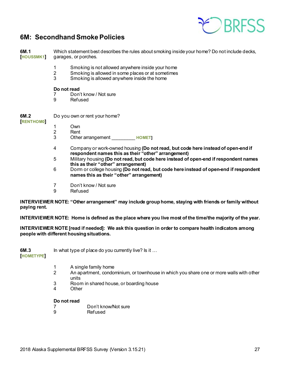

### <span id="page-26-0"></span>**6M: Secondhand Smoke Policies**

**6M.1** Which statement best describes the rules about smoking inside your home? Do not include decks,<br>[HOUSSMK1] garages, or porches. garages, or porches.

- 1 Smoking is not allowed anywhere inside your home
- 2 Smoking is allowed in some places or at sometimes<br>3 Smoking is allowed anywhere inside the home
- Smoking is allowed anywhere inside the home

#### **Do not read**

- 7 Don't know / Not sure<br>9 Refused
- **Refused**
- **6M.2** Do you own or rent your home?

**[RENTHOM0]**

- 1 Own
- 2 Rent<br>3 Othe
	- Other arrangement **HOMET**
- 4 Company or work-owned housing **(Do not read, but code here instead of open-end if respondent names this as their "other" arrangement)**
- 5 Military housing **(Do not read, but code here instead of open-end if respondent names this as their "other" arrangement)**
- 6 Dorm or college housing **(Do not read, but code here instead of open-end if respondent names this as their "other" arrangement)**
- 7 Don't know / Not sure
- 9 Refused

**INTERVIEWER NOTE: "Other arrangement" may include group home, staying with friends or family without paying rent.**

**INTERVIEWER NOTE: Home is defined as the place where you live most of the time/the majority of the year.** 

**INTERVIEWER NOTE [read if needed]: We ask this question in order to compare health indicators among people with different housing situations.**

**6M.3** In what type of place do you currently live? Is it ...

**[HOMETYPE]**

- 1 A single family home<br>2 An apartment, condot
- An apartment, condominium, or townhouse in which you share one or more walls with other units
- 3 Room in shared house, or boarding house
- 4 Other

#### **Do not read**

- 7 Don't know/Not sure<br>9 Refused
- **Refused**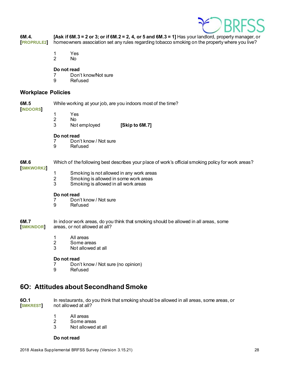

| 6M.4.<br><b>PROPRULE2</b> | [Ask if 6M.3 = 2 or 3; or if 6M.2 = 2, 4, or 5 and 6M.3 = 1] Has your landlord, property manager, or<br>homeowners association set any rules regarding tobacco smoking on the property where you live? |                                                                                                                           |                                                              |  |
|---------------------------|--------------------------------------------------------------------------------------------------------------------------------------------------------------------------------------------------------|---------------------------------------------------------------------------------------------------------------------------|--------------------------------------------------------------|--|
|                           | 1<br>$\overline{2}$                                                                                                                                                                                    | Yes<br>No                                                                                                                 |                                                              |  |
|                           | Do not read<br>9                                                                                                                                                                                       | Don't know/Not sure<br>Refused                                                                                            |                                                              |  |
| <b>Workplace Policies</b> |                                                                                                                                                                                                        |                                                                                                                           |                                                              |  |
| 6M.5                      |                                                                                                                                                                                                        |                                                                                                                           | While working at your job, are you indoors most of the time? |  |
| <b>INDOORS</b>            | $\mathbf{1}$<br>$\overline{2}$<br>3                                                                                                                                                                    | Yes<br>No.<br>Not employed                                                                                                | [Skip to 6M.7]                                               |  |
|                           | Do not read<br>7<br>9                                                                                                                                                                                  | Don't know / Not sure<br>Refused                                                                                          |                                                              |  |
| 6M.6<br><b>SMKWORK2</b>   | Which of the following best describes your place of work's official smoking policy for work areas?                                                                                                     |                                                                                                                           |                                                              |  |
|                           | $\mathbf{1}$<br>$\overline{2}$<br>3                                                                                                                                                                    | Smoking is not allowed in any work areas<br>Smoking is allowed in some work areas<br>Smoking is allowed in all work areas |                                                              |  |
|                           | Do not read<br>7<br>9                                                                                                                                                                                  | Don't know / Not sure<br><b>Refused</b>                                                                                   |                                                              |  |
| 6M.7<br><b>SMKINDOR</b>   | In indoor work areas, do you think that smoking should be allowed in all areas, some<br>areas, or not allowed at all?                                                                                  |                                                                                                                           |                                                              |  |
|                           | 1<br>$\overline{2}$<br>3                                                                                                                                                                               | All areas<br>Some areas<br>Not allowed at all                                                                             |                                                              |  |
|                           | Do not read                                                                                                                                                                                            |                                                                                                                           |                                                              |  |

- 7 Don't know / Not sure (no opinion)
- **Refused**

### <span id="page-27-0"></span>**6O: Attitudes about Secondhand Smoke**

**6O.1** In restaurants, do you think that smoking should be allowed in all areas, some areas, or [**SMKREST**] not allowed at all? not allowed at all?

- 1 All areas<br>2 Some are
	-
- 2 Some areas<br>3 Not allowed Not allowed at all

#### **Do not read**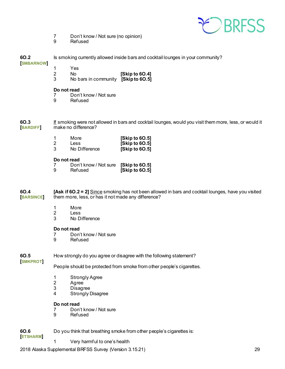

- 7 Don't know / Not sure (no opinion)
- 9 Refused

| 6O.2<br><b>SMBARNOW</b>       | Is smoking currently allowed inside bars and cocktail lounges in your community?                                                                           |                                                                               |                                                                                                        |  |  |
|-------------------------------|------------------------------------------------------------------------------------------------------------------------------------------------------------|-------------------------------------------------------------------------------|--------------------------------------------------------------------------------------------------------|--|--|
|                               | 1<br>$\boldsymbol{2}$<br>3                                                                                                                                 | Yes<br>No<br>No bars in community [Skip to 60.5]                              | [Skip to 60.4]                                                                                         |  |  |
|                               | Do not read<br>7<br>9                                                                                                                                      | Don't know / Not sure<br>Refused                                              |                                                                                                        |  |  |
| <b>60.3</b><br><b>BARDIFF</b> |                                                                                                                                                            | make no difference?                                                           | If smoking were not allowed in bars and cocktail lounges, would you visit them more, less, or would it |  |  |
|                               | 1<br>$\overline{2}$<br>3                                                                                                                                   | More<br>Less<br>No Difference                                                 | [Skip to 60.5]<br>[Skip to 60.5]<br>[Skip to 60.5]                                                     |  |  |
|                               | Do not read<br>7<br>9                                                                                                                                      | Don't know / Not sure<br>Refused                                              | [Skip to 60.5]<br>[Skip to 60.5]                                                                       |  |  |
| 6O.4<br><b>BARSINCE</b>       | [Ask if 60.2 = 2] Since smoking has not been allowed in bars and cocktail lounges, have you visited<br>them more, less, or has it not made any difference? |                                                                               |                                                                                                        |  |  |
|                               | 1<br>$\overline{2}$<br>3                                                                                                                                   | More<br>Less<br>No Difference                                                 |                                                                                                        |  |  |
|                               | Do not read<br>7<br>9                                                                                                                                      | Don't know / Not sure<br>Refused                                              |                                                                                                        |  |  |
| 6O.5<br><b>SMKPROT</b>        | How strongly do you agree or disagree with the following statement?                                                                                        |                                                                               |                                                                                                        |  |  |
|                               | People should be protected from smoke from other people's cigarettes.                                                                                      |                                                                               |                                                                                                        |  |  |
|                               | 1<br>$\boldsymbol{2}$<br>$\ensuremath{\mathsf{3}}$<br>4                                                                                                    | <b>Strongly Agree</b><br>Agree<br><b>Disagree</b><br><b>Strongly Disagree</b> |                                                                                                        |  |  |
|                               | Do not read<br>9                                                                                                                                           | Don't know / Not sure<br>Refused                                              |                                                                                                        |  |  |
| 6O.6<br><b>ETSHARM</b>        | Do you think that breathing smoke from other people's cigarettes is:                                                                                       |                                                                               |                                                                                                        |  |  |

1 Very harmful to one's health

2018 Alaska Supplemental BRFSS Survey (Version 3.15.21) 29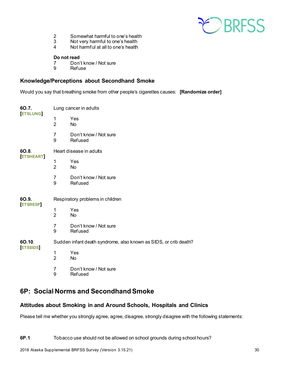

- 2 Somewhat harmful to one's health<br>3 Not very harmful to one's health
- 3 Not very harmful to one's health<br>4 Not harmful at all to one's health
- Not harmful at all to one's health

#### **Do not read**

- 7 Don't know / Not sure<br>9 Refuse
- **Refuse**

#### **Knowledge/Perceptions about Secondhand Smoke**

Would you say that breathing smoke from other people's cigarettes causes: **[Randomize order]**

| 60.7.<br><b>ETSLUNG</b>  | Lung cancer in adults                                            |                                         |  |
|--------------------------|------------------------------------------------------------------|-----------------------------------------|--|
|                          | 1<br>$\overline{2}$                                              | Yes<br>No                               |  |
|                          | $\overline{7}$<br>9                                              | Don't know / Not sure<br>Refused        |  |
| 6O.8.<br><b>ETSHEART</b> | Heart disease in adults                                          |                                         |  |
|                          | 1<br>$\overline{2}$                                              | Yes<br>No                               |  |
|                          | $\overline{7}$<br>9                                              | Don't know / Not sure<br>Refused        |  |
| 6O.9.<br><b>ETSRESP</b>  | Respiratory problems in children                                 |                                         |  |
|                          | 1<br>$\overline{2}$                                              | Yes<br>No                               |  |
|                          | 7<br>9                                                           | Don't know / Not sure<br>Refused        |  |
| 6O.10.<br><b>ETSSIDS</b> | Sudden infant death syndrome, also known as SIDS, or crib death? |                                         |  |
|                          | 1<br>$\overline{2}$                                              | Yes<br>No                               |  |
|                          | $\overline{7}$<br>9                                              | Don't know / Not sure<br><b>Refused</b> |  |

### <span id="page-29-0"></span>**6P: Social Norms and Secondhand Smoke**

#### **Attitudes about Smoking in and Around Schools, Hospitals and Clinics**

Please tell me whether you strongly agree, agree, disagree, strongly disagree with the following statements: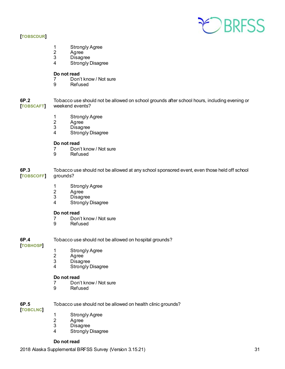

#### **[TOBSCDUR]**

- 1 Strongly Agree<br>2 Agree
- Agree<sup>1</sup>
- 3 Disagree
- 4 Strongly Disagree

### **Do not read**<br> **Don**

- 7 Don't know / Not sure<br>9 Refused
- **Refused**

**6P.2** Tobacco use should not be allowed on school grounds after school hours, including evening or<br>[TOBSCAFT] weekend events? weekend events?

- 1 Strongly Agree<br>2 Agree
- 2 Agree<br>3 Disagr
- **Disagree**
- 4 Strongly Disagree

#### **Do not read**

- 7 Don't know / Not sure<br>9 Refused
- **Refused**

**6P.3** Tobacco use should not be allowed at any school sponsored event, even those held off school **[TOBSCOFF]** grounds?

- 1 Strongly Agree
- 2 Agree<br>3 Disagr
- **Disagree**
- 4 Strongly Disagree

### **Do not read**<br>7 Don'

- 7 Don't know / Not sure<br>9 Refused
- **Refused**

**6P.4** Tobacco use should not be allowed on hospital grounds?

#### **[TOBHOSP]**

- 1 Strongly Agree<br>2 Agree
- 2 Agree<br>3 Disagr
- 3 Disagree<br>4 Strongly I
- **Strongly Disagree**

### **Do not read**<br>7 Don'

- 7 Don't know / Not sure<br>9 Refused
- **Refused**

### **6P.5** Tobacco use should not be allowed on health clinic grounds?

- **[TOBCLNC]**
- 1 Strongly Agree<br>2 Agree
- 2 Agree<br>3 Disagr
- **Disagree**
- 4 Strongly Disagree

#### **Do not read**

2018 Alaska Supplemental BRFSS Survey (Version 3.15.21) 31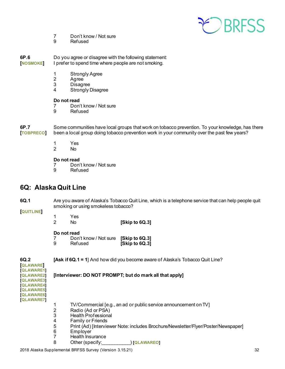

- 7 Don't know / Not sure<br>9 Refused
- **Refused**

**6P.6** Do you agree or disagree with the following statement: **[NOSMOKE]** I prefer to spend time where people are not smoking.

- 1 Strongly Agree<br>2 Agree
- 2 Agree<br>3 Disagr
- **Disagree**
- 4 Strongly Disagree

#### **Do not read**

- 7 Don't know / Not sure<br>9 Refused
- **Refused**

**6P.7** Some communities have local groups that work on tobacco prevention. To your knowledge, has there **[TOBPRECO]** been a local group doing tobacco prevention work in your community over the past few years?

- 1 Yes<br>2 No
- No.

#### **Do not read**

7 Don't know / Not sure<br>9 Refused

**Refused** 

### <span id="page-31-0"></span>**6Q: Alaska Quit Line**

**6Q.1** Are you aware of Alaska's Tobacco Quit Line, which is a telephone service that can help people quit smoking or using smokeless tobacco?

#### **[QUITLINE]**

1 Yes 2 No **[Skip to 6Q.3]**

#### **Do not read**

| 7 | Don't know / Not sure [Skip to 6Q.3] |                |
|---|--------------------------------------|----------------|
| 9 | Refused                              | [Skip to 6Q.3] |

**6Q.2 [Ask if 6Q.1 = 1**] And how did you become aware of Alaska's Tobacco Quit Line? **[QLAWARE] [QLAWARE1] [QLAWARE2] [Interviewer: DO NOT PROMPT; but do mark all that apply] [QLAWARE3] [QLAWARE4] [QLAWARE5] [QLAWARE6] [QLAWARE7]** 1 TV/Commercial [e.g., an ad or public service announcement on TV]<br>2 Radio (Ad or PSA) 2 Radio (Ad or PSA)<br>3 Health Professiona 3 Health Professional<br>4 Family or Friends **Family or Friends** 5 Print (Ad) [Interviewer Note: includes Brochure/Newsletter/Flyer/Poster/Newspaper] 6 Employer 7 Health Insurance 8 Other (specify:\_\_\_\_\_\_\_\_\_\_\_) **[QLAWAREO]**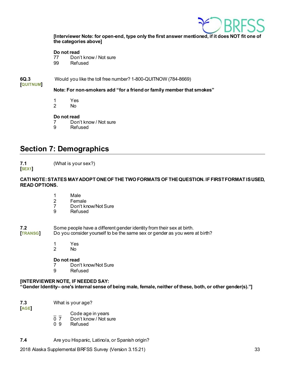

**[Interviewer Note: for open-end, type only the first answer mentioned, if it does NOT fit one of the categories above]**

#### **Do not read**

77 Don't know / Not sure 99 Refused

**6Q.3** Would you like the toll free number? 1-800-QUITNOW (784-8669)

#### **[QUITNUM]**

**Note: For non-smokers add "for a friend or family member that smokes"**

- 1 Yes<br>2 No
- No.

#### **Do not read**

- 7 Don't know / Not sure<br>9 Refused
- **Refused**

### <span id="page-32-0"></span>**Section 7: Demographics**

**7.1** (What is your sex?)

#### **[SEX1]**

#### **CATI NOTE: STATES MAY ADOPT ONE OF THE TWO FORMATS OF THE QUESTION. IF FIRST FORMAT IS USED, READ OPTIONS.**

- 1 Male
- 2 Female<br>7 Don't kr
- 7 Don't know/Not Sure<br>9 Refused
- **Refused**

## **7.2** Some people have a different gender identity from their sex at birth.<br>**[TRANSG]** Do you consider yourself to be the same sex or gender as you were

Do you consider yourself to be the same sex or gender as you were at birth?

- 1 Yes<br>2 No
	- N<sub>o</sub>

### **Do not read**<br>7 Don'

- Don't know/Not Sure
- 9 Refused

#### **[INTERVIEWER NOTE, IF NEEDED SAY: "Gender Identity– one's internal sense of being male, female, neither of these, both, or other gender(s)."]**

**7.3** What is your age?

**[AGE]**

- 
- $\overline{0}$   $\overline{7}$  Code age in years  $\overline{0}$   $\overline{7}$  Don't know / Not sure<br>0.9 Refused
- **Refused**
- **7.4** Are you Hispanic, Latino/a, or Spanish origin?

2018 Alaska Supplemental BRFSS Survey (Version 3.15.21) 33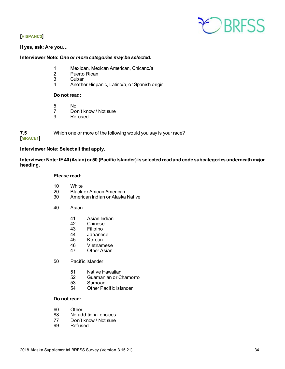

#### **[HISPANC3]**

#### **If yes, ask: Are you…**

#### **Interviewer Note:** *One or more categories may be selected.*

- 1 Mexican, Mexican American, Chicano/a
- 2 Puerto Rican<br>3 Cuban
- 3 Cuban<br>4 Anothe
- 4 Another Hispanic, Latino/a, or Spanish origin

#### **Do not read:**

- 5 No<br>7 Dol
- 7 Don't know / Not sure<br>9 Refused
- **Refused**

**7.5** Which one or more of the following would you say is your race? **[MRACE1]**

#### **Interviewer Note: Select all that apply.**

**Interviewer Note: IF 40 (Asian) or 50 (Pacific Islander) is selected read and code subcategories underneath major heading.**

#### **Please read:**

- 10 White
- 
- 20 Black or African American<br>30 American Indian or Alaska American Indian or Alaska Native
- 40 Asian
	- 41 Asian Indian<br>42 Chinese
	- 42 Chinese<br>43 Filipino
	- 43 Filipino<br>44 Japanes
	- 44 Japanese<br>45 Korean
	- Korean
	- 46 Vietnamese<br>47 Other Asian
	- **Other Asian**
- 50 Pacific Islander
	- 51 Native Hawaiian<br>52 Guamanian or Cl
	- 52 Guamanian or Chamorro<br>53 Samoan
	- 53 Samoan<br>54 Other Pa
	- Other Pacific Islander

#### **Do not read:**

- 60 Other<br>88 No ad
- No additional choices
- 77 Don't know / Not sure<br>99 Refused
- Refused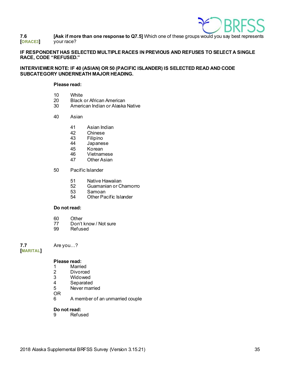

**7.6 <b>[Ask if more than one response to Q7.5**] Which one of these groups would you say best represents<br>[ORACE3] vour race? **[ORACE3]** your race?

#### **IF RESPONDENT HAS SELECTED MULTIPLE RACES IN PREVIOUS AND REFUSES TO SELECT A SINGLE RACE, CODE "REFUSED."**

#### **INTERVIEWER NOTE: IF 40 (ASIAN) OR 50 (PACIFIC ISLANDER) IS SELECTED READ AND CODE SUBCATEGORY UNDERNEATH MAJOR HEADING.**

#### **Please read:**

- 10 White<br>20 Black
- 20 Black or African American<br>30 American Indian or Alaska
- American Indian or Alaska Native
- 40 Asian
	- 41 Asian Indian<br>42 Chinese
	- 42 Chinese<br>43 Filipino
	- 43 Filipino<br>44 Japanes
	- 44 Japanese<br>45 Korean
	- 45 Korean<br>46 Vietnam
	- 46 Vietnamese<br>47 Other Asian
	- **Other Asian**
- 50 Pacific Islander
	- 51 Native Hawaiian<br>52 Guamanian or Cl
	- 52 Guamanian or Chamorro
	- 53 Samoan<br>54 Other Pa
	- **Other Pacific Islander**

#### **Do not read:**

- 60 Other<br>77 Don't
- 77 Don't know / Not sure<br>99 Refused
- Refused

**7.7** Are you…?

**[MARITAL]**

#### **Please read:**

- 1 Married<br>2 Divorce
- 2 Divorced<br>3 Widowed
- 3 Widowed<br>4 Separated
- **Separated**
- 5 Never married

OR

6 A member of an unmarried couple

### **Do not read:**<br>9 **Refus**

**Refused**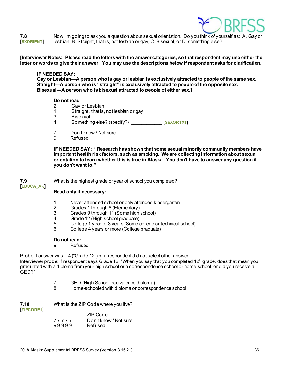

**7.8** Now I'm going to ask you a question about sexual orientation. Do you think of yourself as: A. Gay or<br>**[SXORIENT]** lesbian, B. Straight, that is, not lesbian or gay, C. Bisexual, or D. something else? **[SXORIENT]** lesbian, B. Straight, that is, not lesbian or gay, C. Bisexual, or D. something else?

**[Interviewer Notes: Please read the letters with the answer categories, so that respondent may use either the letter or words to give their answer. You may use the descriptions below if respondent asks for clarification.**

#### **IF NEEDED SAY:**

**Gay or Lesbian—A person who is gay or lesbian is exclusively attracted to people of the same sex. Straight—A person who is "straight" is exclusively attracted to people of the opposite sex. Bisexual—A person who is bisexual attracted to people of either sex.]**

#### **Do not read**

- 2 Gay or Lesbian<br>1 Straight, that is.
- Straight, that is, not lesbian or gay
- 3 Bisexual
- 4 Something else? (specify?) \_\_\_\_\_\_\_\_\_\_\_\_ **[SEXORTXT]**
- 7 Don't know / Not sure<br>9 Refused
- **Refused**

**IF NEEDED SAY: "Research has shown that some sexual minority community members have important health risk factors, such as smoking. We are collecting information about sexual orientation to learn whether this is true in Alaska. You don't have to answer any question if you don't want to."**

#### **7.9** What is the highest grade or year of school you completed? **[EDUCA\_AK]**

#### **Read only if necessary:**

- 1 Never attended school or only attended kindergarten<br>2 Grades 1 through 8 (Elementary)
- 2 Grades 1 through 8 (Elementary)<br>3 Grades 9 through 11 (Some high)
- 3 Grades 9 through 11 (Some high school)<br>4 Grade 12 (High school graduate)
- 4 Grade 12 (High school graduate)<br>5 College 1 year to 3 years (Some of
- 5 College 1 year to 3 years (Some college or technical school)<br>6 College 4 years or more (College graduate)
- 6 College 4 years or more (College graduate)

#### **Do not read:**

9 Refused

Probe if answer was = 4 ("Grade 12") or if respondent did not select other answer:

Interviewer probe: If respondent says Grade 12: "When you say that you completed 12<sup>th</sup> grade, does that mean you graduated with a diploma from your high school or a correspondence school or home-school, or did you receive a GED?"

- 7 GED (High School equivalence diploma)
- 8 Home-schooled with diploma or correspondence school

**7.10** What is the ZIP Code where you live?

**[ZIPCODE1]**

| ZIP Code              |
|-----------------------|
| Don't know / Not sure |
| Refused               |
|                       |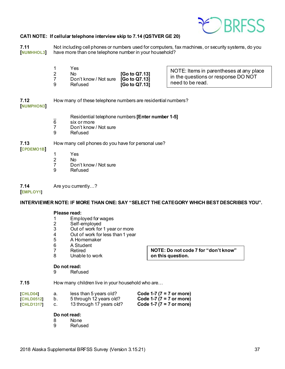

#### **CATI NOTE: If cellular telephone interview skip to 7.14 (QSTVER GE 20)**

**7.11** Not including cell phones or numbers used for computers, fax machines, or security systems, do you **[NUMHHOL3]** have more than one telephone number in your household? have more than one telephone number in your household?

| Y es<br>No<br>Don't know / Not sure [Go to Q7.13] | [Go to Q7.13] | NOTE: Items in parentheses at any place<br>in the questions or response DO NOT<br>need to be read. |
|---------------------------------------------------|---------------|----------------------------------------------------------------------------------------------------|
| Refused                                           | [Go to Q7.13] |                                                                                                    |

**7.12** How many of these telephone numbers are residential numbers? **[NUMPHON3]**

Residential telephone numbers **[Enter number 1-5]**<br>
Six or more

- 6 six or more
- Don't know / Not sure
- 9 Refused

#### **7.13** How many cell phones do you have for personal use?

#### **[CPDEMO1B]**

- 1 Yes
- 2 No<br>7 Do
- 7 Don't know / Not sure<br>9 Refused
- **Refused**

**7.14** Are you currently…?

#### **[EMPLOY1]**

**INTERVIEWER NOTE: IF MORE THAN ONE: SAY "SELECT THE CATEGORY WHICH BEST DESCRIBES YOU".**

**NOTE: Do not code 7 for "don't know"** 

**on this question.** 

### **Please read:**<br>1 **Fmpl**

- 1 Employed for wages<br>2 Self-employed
- 2 Self-employed<br>3 Out of work for
- 3 Out of work for 1 year or more<br>4 Out of work for less than 1 year
- 4 Out of work for less than 1 year<br>5 A Homemaker
- 5 A Homemaker
- 6 A Student<br>7 Retired
- 7 Retired<br>8 Unable
- Unable to work

### **Do not read:**

**Refused** 

**7.15** How many children live in your household who are...

| <b>CHLD04</b>     | а. | less than 5 years old?   | Code 1-7 ( $7 = 7$ or more) |
|-------------------|----|--------------------------|-----------------------------|
| <b>CHLD05121</b>  |    | 5 through 12 years old?  | Code 1-7 ( $7 = 7$ or more) |
| <b>[CHLD1317]</b> |    | 13 through 17 years old? | Code 1-7 ( $7 = 7$ or more) |

#### **Do not read:**

- 8 None<br>9 Refus
- **Refused**

2018 Alaska Supplemental BRFSS Survey (Version 3.15.21) 37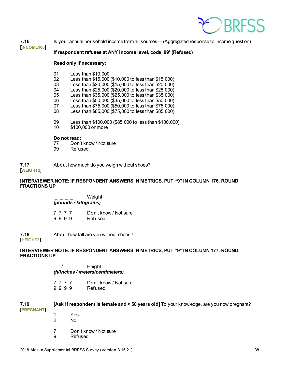

**7.16** Is your annual household income from all sources— (Aggregated response to income question) **[INCOME100]**

#### **If respondent refuses at ANY income level, code '99' (Refused)**

#### **Read only if necessary:**

- 
- 01 Less than \$10,000<br>02 Less than \$15,000
- 02 Less than \$15,000 (\$10,000 to less than \$15,000)<br>03 Less than \$20,000 (\$15,000 to less than \$20,000) Less than \$20,000 (\$15,000 to less than \$20,000)
- 04 Less than \$25,000 (\$20,000 to less than \$25,000)<br>05 Less than \$35,000 (\$25,000 to less than \$35,000)
- 05 Less than \$35,000 (\$25,000 to less than \$35,000)<br>06 Less than \$50,000 (\$35,000 to less than \$50,000)
- Less than \$50,000 (\$35,000 to less than \$50,000)
- 07 Less than \$75,000 (\$50,000 to less than \$75,000)<br>08 Less than \$85,000 (\$75,000 to less than \$85,000)
- Less than  $$85,000$  ( $$75,000$  to less than  $$85,000$ )
- 09 Less than \$100,000 (\$85,000 to less than \$100,000)<br>10 \$100,000 or more
- \$100,000 or more

### **Do not read:**<br>77 Don't

- Don't know / Not sure
- 99 Refused

#### **7.17** About how much do you weigh without shoes? **[WEIGHT2]**

#### **INTERVIEWER NOTE: IF RESPONDENT ANSWERS IN METRICS, PUT "9" IN COLUMN 176. ROUND FRACTIONS UP**

**\_ \_ \_ \_** Weight *(pounds / kilograms)*

7 7 7 7 Don't know / Not sure<br>9 9 9 9 Refused 9 9 9 9

**7.18** About how tall are you without shoes? **[HEIGHT3]**

#### **INTERVIEWER NOTE: IF RESPONDENT ANSWERS IN METRICS, PUT "9" IN COLUMN 177. ROUND FRACTIONS UP**

**\_ \_ / \_ \_** Height *(ft/inches / meters/centimeters)*

7 7 7 7 Don't know / Not sure<br>9 9 9 9 Refused 9 9 9 9

| 7.19<br><b>PREGNANT</b> | [Ask if respondent is female and < 50 years old] To your knowledge, are you now pregnant? |                       |  |  |
|-------------------------|-------------------------------------------------------------------------------------------|-----------------------|--|--|
|                         |                                                                                           | Yes                   |  |  |
|                         |                                                                                           | No.                   |  |  |
|                         |                                                                                           | Don't know / Not sure |  |  |
|                         | 9                                                                                         | Refused               |  |  |